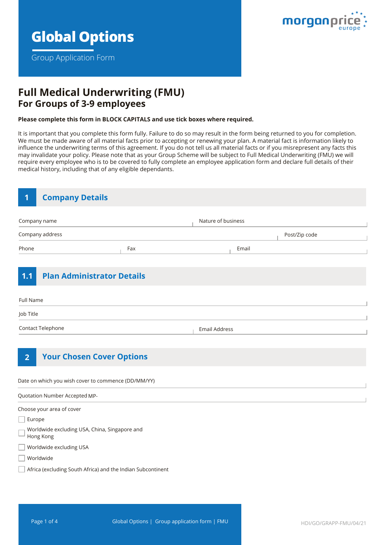

Group Application Form



## **Full Medical Underwriting (FMU) For Groups of 3-9 employees**

#### **Please complete this form in BLOCK CAPITALS and use tick boxes where required.**

It is important that you complete this form fully. Failure to do so may result in the form being returned to you for completion. We must be made aware of all material facts prior to accepting or renewing your plan. A material fact is information likely to influence the underwriting terms of this agreement. If you do not tell us all material facts or if you misrepresent any facts this may invalidate your policy. Please note that as your Group Scheme will be subject to Full Medical Underwriting (FMU) we will require every employee who is to be covered to fully complete an employee application form and declare full details of their medical history, including that of any eligible dependants.

| $\mathbf 1$       | <b>Company Details</b>            |                      |                    |       |               |
|-------------------|-----------------------------------|----------------------|--------------------|-------|---------------|
| Company name      |                                   |                      | Nature of business |       |               |
| Company address   |                                   |                      |                    |       | Post/Zip code |
| Phone             |                                   | Fax                  |                    | Email |               |
| 1.1<br>Full Name  | <b>Plan Administrator Details</b> |                      |                    |       |               |
| Job Title         |                                   |                      |                    |       |               |
| Contact Telephone |                                   | <b>Email Address</b> |                    |       |               |
| $\overline{2}$    | <b>Your Chosen Cover Options</b>  |                      |                    |       |               |

Date on which you wish cover to commence (DD/MM/YY)

Quotation Number Accepted MP-

Choose your area of cover

Europe

Worldwide excluding USA, China, Singapore and

- Hong Kong
- Worldwide excluding USA

Worldwide

Africa (excluding South Africa) and the Indian Subcontinent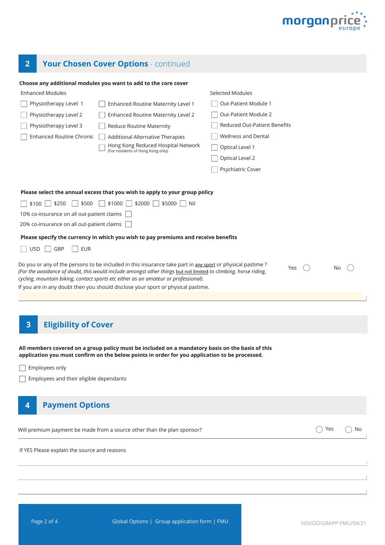

# **2 Your Chosen Cover Options** - continued

#### **Choose any additional modules you want to add to the core cover**

| <b>Enhanced Modules</b>                      |                                                                                                                                                                                                                                                                                            | Selected Modules             |     |    |  |  |
|----------------------------------------------|--------------------------------------------------------------------------------------------------------------------------------------------------------------------------------------------------------------------------------------------------------------------------------------------|------------------------------|-----|----|--|--|
| Physiotherapy Level 1                        | Enhanced Routine Maternity Level 1                                                                                                                                                                                                                                                         | Out-Patient Module 1         |     |    |  |  |
| Physiotherapy Level 2                        | Enhanced Routine Maternity Level 2                                                                                                                                                                                                                                                         | Out-Patient Module 2         |     |    |  |  |
| Physiotherapy Level 3                        | Reduce Routine Maternity                                                                                                                                                                                                                                                                   | Reduced Out-Patient Benefits |     |    |  |  |
| <b>Enhanced Routine Chronic</b>              | Additional Alternative Therapies                                                                                                                                                                                                                                                           | <b>Wellness and Dental</b>   |     |    |  |  |
|                                              | Hong Kong Reduced Hospital Network<br>(For residents of Hong Kong only)                                                                                                                                                                                                                    | Optical Level 1              |     |    |  |  |
|                                              |                                                                                                                                                                                                                                                                                            | Optical Level 2              |     |    |  |  |
|                                              |                                                                                                                                                                                                                                                                                            | Psychiatric Cover            |     |    |  |  |
|                                              | Please select the annual excess that you wish to apply to your group policy                                                                                                                                                                                                                |                              |     |    |  |  |
| \$250<br>\$500<br>    \$100                  | \$1000<br>$$2000$    <br>$$5000$     Nil                                                                                                                                                                                                                                                   |                              |     |    |  |  |
| 10% co-insurance on all out-patient claims   |                                                                                                                                                                                                                                                                                            |                              |     |    |  |  |
| 20% co-insurance on all out-patient claims   |                                                                                                                                                                                                                                                                                            |                              |     |    |  |  |
|                                              | Please specify the currency in which you wish to pay premiums and receive benefits                                                                                                                                                                                                         |                              |     |    |  |  |
| GBP<br><b>EUR</b><br><b>USD</b>              |                                                                                                                                                                                                                                                                                            |                              |     |    |  |  |
|                                              | (For the avoidance of doubt, this would include amongst other things but not limited to climbing, horse riding,<br>cycling, mountain biking, contact sports etc either as an amateur or professional).<br>If you are in any doubt then you should disclose your sport or physical pastime. |                              |     |    |  |  |
| <b>Eligibility of Cover</b><br>3             |                                                                                                                                                                                                                                                                                            |                              |     |    |  |  |
|                                              | All members covered on a group policy must be included on a mandatory basis on the basis of this<br>application you must confirm on the below points in order for you application to be processed.                                                                                         |                              |     |    |  |  |
| Employees only                               |                                                                                                                                                                                                                                                                                            |                              |     |    |  |  |
| Employees and their eligible dependants      |                                                                                                                                                                                                                                                                                            |                              |     |    |  |  |
| <b>Payment Options</b><br>$\overline{4}$     |                                                                                                                                                                                                                                                                                            |                              |     |    |  |  |
|                                              | Will premium payment be made from a source other than the plan sponsor?                                                                                                                                                                                                                    |                              | Yes | No |  |  |
| If YES Please explain the source and reasons |                                                                                                                                                                                                                                                                                            |                              |     |    |  |  |
|                                              |                                                                                                                                                                                                                                                                                            |                              |     |    |  |  |
|                                              |                                                                                                                                                                                                                                                                                            |                              |     |    |  |  |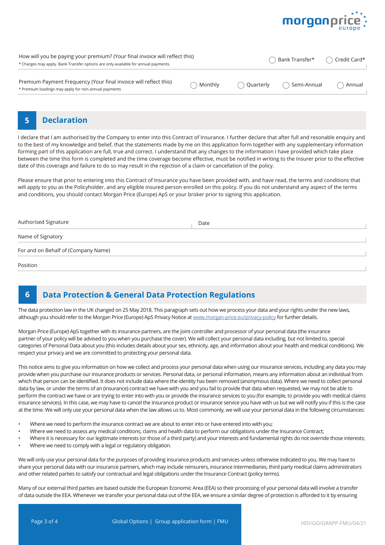

| How will you be paying your premium? (Your final invoice will reflect this)<br>* Charges may apply. Bank Transfer options are only available for annual payments. | Bank Transfer* |               | Credit Card* |        |
|-------------------------------------------------------------------------------------------------------------------------------------------------------------------|----------------|---------------|--------------|--------|
| Premium Payment Frequency (Your final invoice will reflect this)<br>* Premium loadings may apply for non annual payments                                          | Monthly        | ( ) Quarterly | Semi-Annual  | Annual |

### **5 Declaration**

I declare that I am authorised by the Company to enter into this Contract of Insurance. I further declare that after full and resonable enquiry and to the best of my knowledge and belief, that the statements made by me on this application form together with any supplementary information forming part of this application are full, true and correct. I understand that any changes to the information I have provided which take place between the time this form is completed and the time coverage become effective, must be notified in writing to the Insurer prior to the effective date of this coverage and failure to do so may result in the rejection of a claim or cancellation of the policy.

Please ensure that prior to entering into this Contract of Insurance you have been provided with, and have read, the terms and conditions that will apply to you as the Policyholder, and any eligible insured person enrolled on this policy. If you do not understand any aspect of the terms and conditions, you should contact Morgan Price (Europe) ApS or your broker prior to signing this application.

| Authorised Signature                | Date |  |  |
|-------------------------------------|------|--|--|
| Name of Signatory                   |      |  |  |
| For and on Behalf of (Company Name) |      |  |  |
| Position                            |      |  |  |

## **6 Data Protection & General Data Protection Regulations**

The data protection law in the UK changed on 25 May 2018. This paragraph sets out how we process your data and your rights under the new laws, although you should refer to the Morgan Price (Europe) ApS Privacy Notice at [www.morgan-price.eu/privacy-policy](http://www.morgan-price.com/privacy-policy) for further details.

Morgan Price (Europe) ApS together with its insurance partners, are the joint controller and processor of your personal data (the insurance partner of your policy will be advised to you when you purchase the cover). We will collect your personal data including, but not limited to, special categories of Personal Data about you (this includes details about your sex, ethnicity, age, and information about your health and medical conditions). We respect your privacy and we are committed to protecting your personal data.

This notice aims to give you information on how we collect and process your personal data when using our insurance services, including any data you may provide when you purchase our insurance products or services. Personal data, or personal information, means any information about an individual from which that person can be identified. It does not include data where the identity has been removed (anonymous data). Where we need to collect personal data by law, or under the terms of an (insurance) contract we have with you and you fail to provide that data when requested, we may not be able to perform the contract we have or are trying to enter into with you or provide the insurance services to you (for example, to provide you with medical claims insurance services). In this case, we may have to cancel the insurance product or insurance service you have with us but we will notify you if this is the case at the time. We will only use your personal data when the law allows us to. Most commonly, we will use your personal data in the following circumstances:

- Where we need to perform the insurance contract we are about to enter into or have entered into with you;
- Where we need to assess any medical conditions, claims and health data to perform our obligations under the Insurance Contract;
- Where it is necessary for our legitimate interests (or those of a third party) and your interests and fundamental rights do not override those interests; • Where we need to comply with a legal or regulatory obligation.

We will only use your personal data for the purposes of providing insurance products and services unless otherwise indicated to you. We may have to share your personal data with our insurance partners, which may include reinsurers, insurance intermediaries, third party medical claims administrators and other related parties to satisfy our contractual and legal obligations under the Insurance Contract (policy terms).

Many of our external third parties are based outside the European Economic Area (EEA) so their processing of your personal data will involve a transfer of data outside the EEA. Whenever we transfer your personal data out of the EEA, we ensure a similar degree of protection is afforded to it by ensuring